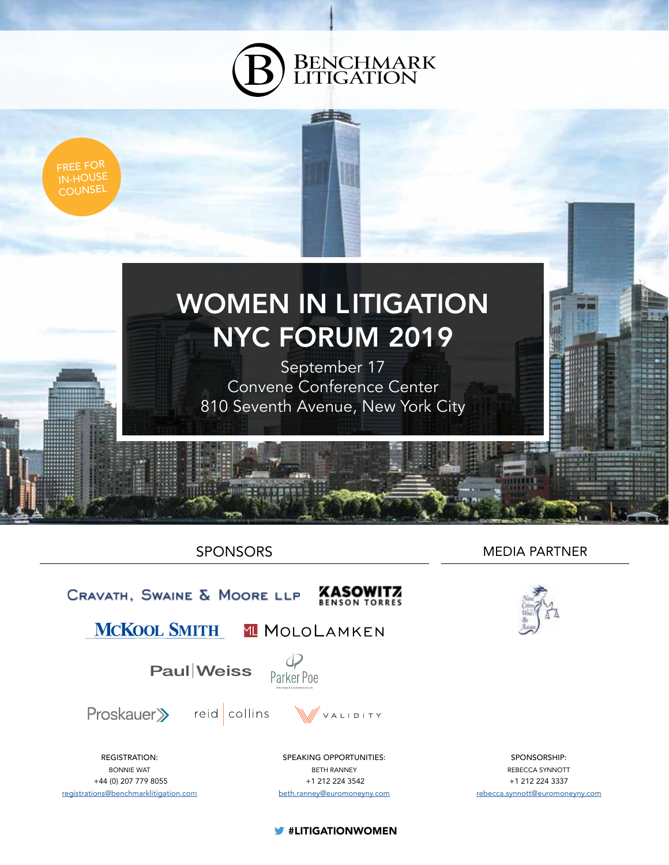



SPONSORS



MEDIA PARTNER



SPONSORSHIP: REBECCA SYNNOTT +1 212 224 3337 rebecca.synnott@euromoneyny.com

**W** #LITIGATIONWOMEN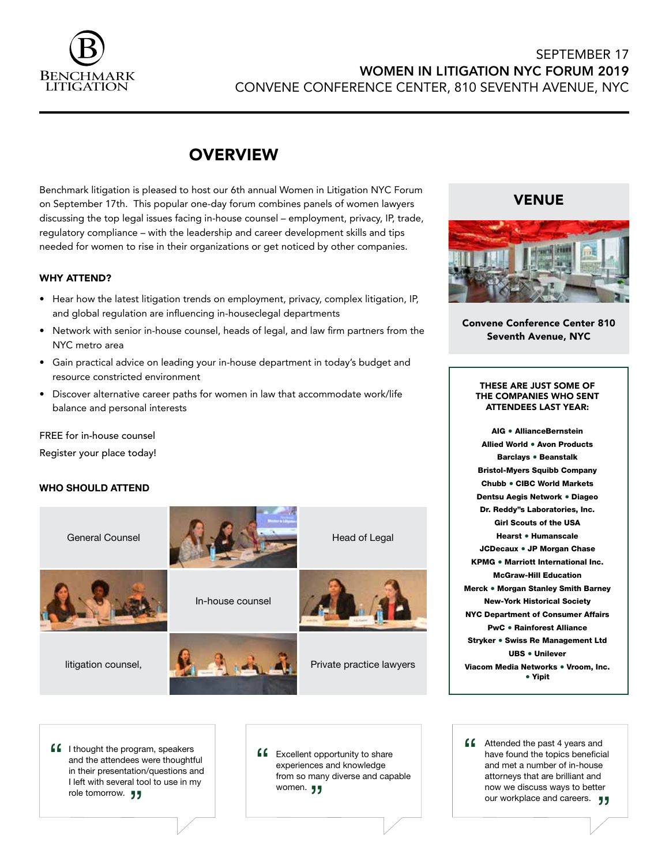

## SEPTEMBER 17 WOMEN IN LITIGATION NYC FORUM 2019 CONVENE CONFERENCE CENTER, 810 SEVENTH AVENUE, NYC

# **OVERVIEW**

Benchmark litigation is pleased to host our 6th annual Women in Litigation NYC Forum on September 17th. This popular one-day forum combines panels of women lawyers discussing the top legal issues facing in-house counsel – employment, privacy, IP, trade, regulatory compliance – with the leadership and career development skills and tips needed for women to rise in their organizations or get noticed by other companies.

### WHY ATTEND?

- Hear how the latest litigation trends on employment, privacy, complex litigation, IP, and global regulation are influencing in-houseclegal departments
- Network with senior in-house counsel, heads of legal, and law firm partners from the NYC metro area
- Gain practical advice on leading your in-house department in today's budget and resource constricted environment
- Discover alternative career paths for women in law that accommodate work/life balance and personal interests

FREE for in-house counsel Register your place today!

### **WHO SHOULD ATTEND**



**ff** I thought the program, speakers<br>and the attendees were thought<br>in their presentation/questions are and the attendees were thoughtful in their presentation/questions and I left with several tool to use in my role tomorrow. <sub>JJ</sub>

**ff** Excellent opportunity to share<br>
experiences and knowledge<br>
from so many diverse and can experiences and knowledge from so many diverse and capable women. **JJ** 

**44** Attended the past 4 years and<br>have found the topics beneficiand met a number of in-house have found the topics beneficial and met a number of in-house attorneys that are brilliant and now we discuss ways to better our workplace and careers. <br> **The Second Second Second Second Second Second Second Second Second Second Second Second Second Second Second Second Second Second Second Second Second Second Second Second Second Second Second** 

## VENUE



Convene Conference Center 810 Seventh Avenue, NYC

### THESE ARE JUST SOME OF THE COMPANIES WHO SENT ATTENDEES LAST YEAR:

AIG ● AllianceBernstein Allied World ● Avon Products Barclays ● Beanstalk Bristol-Myers Squibb Company Chubb ● CIBC World Markets Dentsu Aegis Network ● Diageo Dr. Reddy''s Laboratories, Inc. Girl Scouts of the USA Hearst ● Humanscale JCDecaux ● JP Morgan Chase KPMG ● Marriott International Inc. McGraw-Hill Education Merck ● Morgan Stanley Smith Barney New-York Historical Society NYC Department of Consumer Affairs PwC ● Rainforest Alliance Stryker ● Swiss Re Management Ltd UBS ● Unilever Viacom Media Networks ● Vroom, Inc. ● Yipit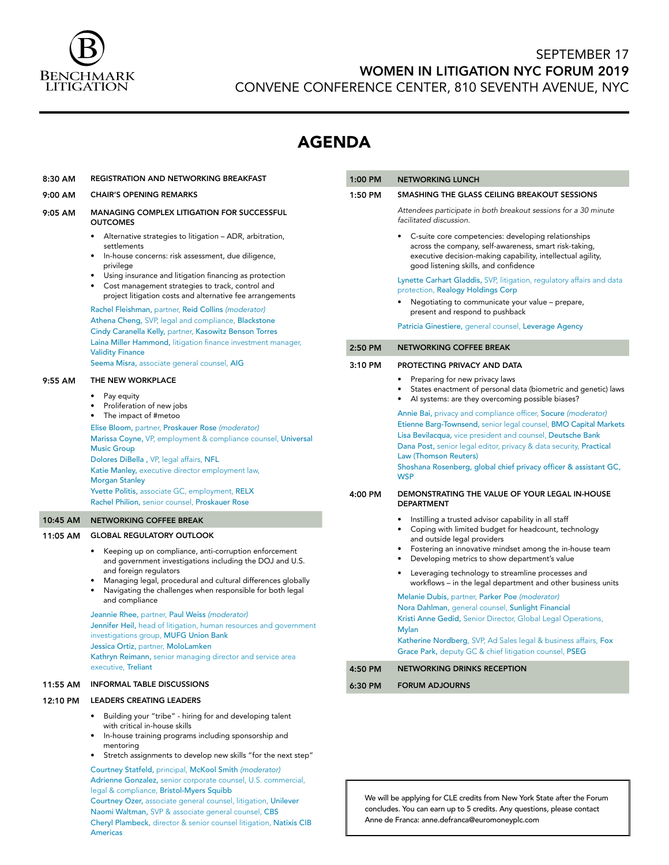

8:30 AM REGISTRATION AND NETWORKING BREAKFAST

12:10 PM LEADERS CREATING LEADERS

mentoring

Americas

with critical in-house skills

legal & compliance, Bristol-Myers Squibb

• Building your "tribe" - hiring for and developing talent

• In-house training programs including sponsorship and

• Stretch assignments to develop new skills "for the next step" Courtney Statfeld, principal, McKool Smith *(moderator)* Adrienne Gonzalez, senior corporate counsel, U.S. commercial,

Courtney Ozer, associate general counsel, litigation, Unilever Naomi Waltman, SVP & associate general counsel, CBS Cheryl Plambeck, director & senior counsel litigation, Natixis CIB

# SEPTEMBER 17 WOMEN IN LITIGATION NYC FORUM 2019

CONVENE CONFERENCE CENTER, 810 SEVENTH AVENUE, NYC

1:00 PM NETWORKING LUNCH

# AGENDA

| 9:00 AM  | <b>CHAIR'S OPENING REMARKS</b>                                                                                                                                                                                                                                                                                                                                                                                                                                                                                                                                                                                                             | 1:50 PM | SMASHING THE GLASS CEILING BREAKOUT SESSIONS                                                                                                                                                                                                                                                                    |
|----------|--------------------------------------------------------------------------------------------------------------------------------------------------------------------------------------------------------------------------------------------------------------------------------------------------------------------------------------------------------------------------------------------------------------------------------------------------------------------------------------------------------------------------------------------------------------------------------------------------------------------------------------------|---------|-----------------------------------------------------------------------------------------------------------------------------------------------------------------------------------------------------------------------------------------------------------------------------------------------------------------|
| 9:05 AM  | <b>MANAGING COMPLEX LITIGATION FOR SUCCESSFUL</b><br><b>OUTCOMES</b><br>• Alternative strategies to litigation – ADR, arbitration,<br>settlements<br>In-house concerns: risk assessment, due diligence,<br>٠<br>privilege<br>Using insurance and litigation financing as protection<br>$\bullet$<br>Cost management strategies to track, control and<br>project litigation costs and alternative fee arrangements                                                                                                                                                                                                                          |         | Attendees participate in both breakout sessions for a 30 minute<br>facilitated discussion.                                                                                                                                                                                                                      |
|          |                                                                                                                                                                                                                                                                                                                                                                                                                                                                                                                                                                                                                                            |         | C-suite core competencies: developing relationships<br>across the company, self-awareness, smart risk-taking,<br>executive decision-making capability, intellectual agility,<br>good listening skills, and confidence                                                                                           |
|          |                                                                                                                                                                                                                                                                                                                                                                                                                                                                                                                                                                                                                                            |         | Lynette Carhart Gladdis, SVP, litigation, regulatory affairs and data<br>protection, Realogy Holdings Corp                                                                                                                                                                                                      |
|          | Rachel Fleishman, partner, Reid Collins (moderator)<br>Athena Cheng, SVP, legal and compliance, Blackstone                                                                                                                                                                                                                                                                                                                                                                                                                                                                                                                                 |         | Negotiating to communicate your value - prepare,<br>present and respond to pushback<br>Patricia Ginestiere, general counsel, Leverage Agency                                                                                                                                                                    |
|          | Cindy Caranella Kelly, partner, Kasowitz Benson Torres                                                                                                                                                                                                                                                                                                                                                                                                                                                                                                                                                                                     |         |                                                                                                                                                                                                                                                                                                                 |
|          | Laina Miller Hammond, litigation finance investment manager,<br><b>Validity Finance</b>                                                                                                                                                                                                                                                                                                                                                                                                                                                                                                                                                    | 2:50 PM | <b>NETWORKING COFFEE BREAK</b>                                                                                                                                                                                                                                                                                  |
|          | Seema Misra, associate general counsel, AIG                                                                                                                                                                                                                                                                                                                                                                                                                                                                                                                                                                                                | 3:10 PM | PROTECTING PRIVACY AND DATA                                                                                                                                                                                                                                                                                     |
| 9:55 AM  | THE NEW WORKPLACE<br>Pay equity<br>Proliferation of new jobs<br>The impact of #metoo<br>Elise Bloom, partner, Proskauer Rose (moderator)<br>Marissa Coyne, VP, employment & compliance counsel, Universal<br><b>Music Group</b><br>Dolores DiBella, VP, legal affairs, NFL<br>Katie Manley, executive director employment law,<br><b>Morgan Stanley</b>                                                                                                                                                                                                                                                                                    |         | Preparing for new privacy laws<br>$\bullet$<br>States enactment of personal data (biometric and genetic) laws                                                                                                                                                                                                   |
|          |                                                                                                                                                                                                                                                                                                                                                                                                                                                                                                                                                                                                                                            |         | Al systems: are they overcoming possible biases?<br>Annie Bai, privacy and compliance officer, Socure (moderator)                                                                                                                                                                                               |
|          |                                                                                                                                                                                                                                                                                                                                                                                                                                                                                                                                                                                                                                            |         | Etienne Barg-Townsend, senior legal counsel, BMO Capital Markets<br>Lisa Bevilacqua, vice president and counsel, Deutsche Bank<br>Dana Post, senior legal editor, privacy & data security, Practical<br>Law (Thomson Reuters)<br>Shoshana Rosenberg, global chief privacy officer & assistant GC,<br><b>WSP</b> |
|          | Yvette Politis, associate GC, employment, RELX<br>Rachel Philion, senior counsel, Proskauer Rose                                                                                                                                                                                                                                                                                                                                                                                                                                                                                                                                           | 4:00 PM | DEMONSTRATING THE VALUE OF YOUR LEGAL IN-HOUSE<br><b>DEPARTMENT</b>                                                                                                                                                                                                                                             |
| 10:45 AM | NETWORKING COFFEE BREAK                                                                                                                                                                                                                                                                                                                                                                                                                                                                                                                                                                                                                    |         | Instilling a trusted advisor capability in all staff<br>$\bullet$<br>Coping with limited budget for headcount, technology                                                                                                                                                                                       |
| 11:05 AM | <b>GLOBAL REGULATORY OUTLOOK</b><br>Keeping up on compliance, anti-corruption enforcement<br>$\bullet$<br>and government investigations including the DOJ and U.S.<br>and foreign regulators<br>Managing legal, procedural and cultural differences globally<br>Navigating the challenges when responsible for both legal<br>٠<br>and compliance<br>Jeannie Rhee, partner, Paul Weiss (moderator)<br>Jennifer Heil, head of litigation, human resources and government<br>investigations group, MUFG Union Bank<br>Jessica Ortiz, partner, MoloLamken<br>Kathryn Reimann, senior managing director and service area<br>executive, Treliant |         | and outside legal providers                                                                                                                                                                                                                                                                                     |
|          |                                                                                                                                                                                                                                                                                                                                                                                                                                                                                                                                                                                                                                            |         | Fostering an innovative mindset among the in-house team<br>Developing metrics to show department's value                                                                                                                                                                                                        |
|          |                                                                                                                                                                                                                                                                                                                                                                                                                                                                                                                                                                                                                                            |         | Leveraging technology to streamline processes and<br>workflows – in the legal department and other business units                                                                                                                                                                                               |
|          |                                                                                                                                                                                                                                                                                                                                                                                                                                                                                                                                                                                                                                            |         | Melanie Dubis, partner, Parker Poe (moderator)                                                                                                                                                                                                                                                                  |
|          |                                                                                                                                                                                                                                                                                                                                                                                                                                                                                                                                                                                                                                            |         | Nora Dahlman, general counsel, Sunlight Financial<br>Kristi Anne Gedid, Senior Director, Global Legal Operations,<br><b>Mylan</b><br>Katherine Nordberg, SVP, Ad Sales legal & business affairs, Fox<br>Grace Park, deputy GC & chief litigation counsel, PSEG                                                  |
|          |                                                                                                                                                                                                                                                                                                                                                                                                                                                                                                                                                                                                                                            | 4:50 PM | NETWORKING DRINKS RECEPTION                                                                                                                                                                                                                                                                                     |
| 11:55 AM | <b>INFORMAL TABLE DISCUSSIONS</b>                                                                                                                                                                                                                                                                                                                                                                                                                                                                                                                                                                                                          | 6:30 PM | <b>FORUM ADJOURNS</b>                                                                                                                                                                                                                                                                                           |
|          |                                                                                                                                                                                                                                                                                                                                                                                                                                                                                                                                                                                                                                            |         |                                                                                                                                                                                                                                                                                                                 |

We will be applying for CLE credits from New York State after the Forum concludes. You can earn up to 5 credits. Any questions, please contact Anne de Franca: anne.defranca@euromoneyplc.com